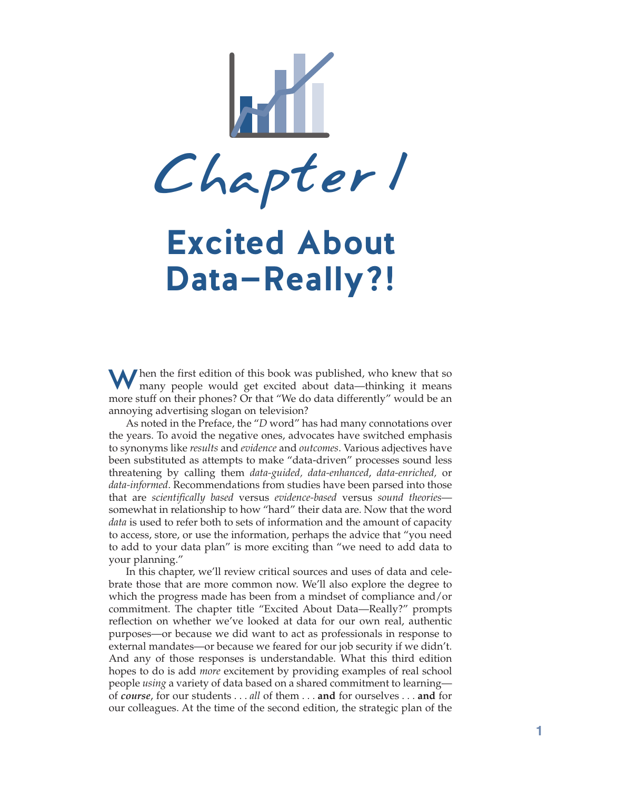

# **Excited About Data—Really?!**

When the first edition of this book was published, who knew that so many people would get excited about data—thinking it means more stuff on their phones? Or that "We do data differently" would be an annoying advertising slogan on television?

As noted in the Preface, the "*D* word" has had many connotations over the years. To avoid the negative ones, advocates have switched emphasis to synonyms like *results* and *evidence* and *outcomes*. Various adjectives have been substituted as attempts to make "data-driven" processes sound less threatening by calling them *data-guided, data-enhanced*, *data-enriched,* or *data-informed*. Recommendations from studies have been parsed into those that are *scientifically based* versus *evidence-based* versus *sound theories* somewhat in relationship to how "hard" their data are. Now that the word *data* is used to refer both to sets of information and the amount of capacity to access, store, or use the information, perhaps the advice that "you need to add to your data plan" is more exciting than "we need to add data to your planning."

In this chapter, we'll review critical sources and uses of data and celebrate those that are more common now. We'll also explore the degree to which the progress made has been from a mindset of compliance and/or commitment. The chapter title "Excited About Data—Really?" prompts reflection on whether we've looked at data for our own real, authentic purposes—or because we did want to act as professionals in response to external mandates—or because we feared for our job security if we didn't. And any of those responses is understandable. What this third edition hopes to do is add *more* excitement by providing examples of real school people *using* a variety of data based on a shared commitment to learning of *course*, for our students . . . *all* of them . . . **and** for ourselves . . . **and** for our colleagues. At the time of the second edition, the strategic plan of the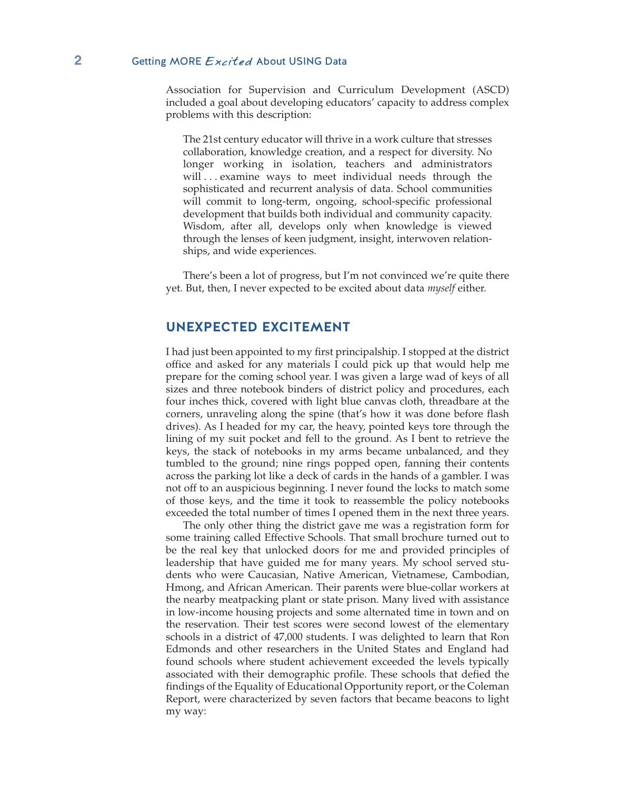Association for Supervision and Curriculum Development (ASCD) included a goal about developing educators' capacity to address complex problems with this description:

The 21st century educator will thrive in a work culture that stresses collaboration, knowledge creation, and a respect for diversity. No longer working in isolation, teachers and administrators will ... examine ways to meet individual needs through the sophisticated and recurrent analysis of data. School communities will commit to long-term, ongoing, school-specific professional development that builds both individual and community capacity. Wisdom, after all, develops only when knowledge is viewed through the lenses of keen judgment, insight, interwoven relationships, and wide experiences.

There's been a lot of progress, but I'm not convinced we're quite there yet. But, then, I never expected to be excited about data *myself* either.

# **UNEXPECTED EXCITEMENT**

I had just been appointed to my first principalship. I stopped at the district office and asked for any materials I could pick up that would help me prepare for the coming school year. I was given a large wad of keys of all sizes and three notebook binders of district policy and procedures, each four inches thick, covered with light blue canvas cloth, threadbare at the corners, unraveling along the spine (that's how it was done before flash drives). As I headed for my car, the heavy, pointed keys tore through the lining of my suit pocket and fell to the ground. As I bent to retrieve the keys, the stack of notebooks in my arms became unbalanced, and they tumbled to the ground; nine rings popped open, fanning their contents across the parking lot like a deck of cards in the hands of a gambler. I was not off to an auspicious beginning. I never found the locks to match some of those keys, and the time it took to reassemble the policy notebooks exceeded the total number of times I opened them in the next three years.

The only other thing the district gave me was a registration form for some training called Effective Schools. That small brochure turned out to be the real key that unlocked doors for me and provided principles of leadership that have guided me for many years. My school served students who were Caucasian, Native American, Vietnamese, Cambodian, Hmong, and African American. Their parents were blue-collar workers at the nearby meatpacking plant or state prison. Many lived with assistance in low-income housing projects and some alternated time in town and on the reservation. Their test scores were second lowest of the elementary schools in a district of 47,000 students. I was delighted to learn that Ron Edmonds and other researchers in the United States and England had found schools where student achievement exceeded the levels typically associated with their demographic profile. These schools that defied the findings of the Equality of Educational Opportunity report, or the Coleman Report, were characterized by seven factors that became beacons to light my way: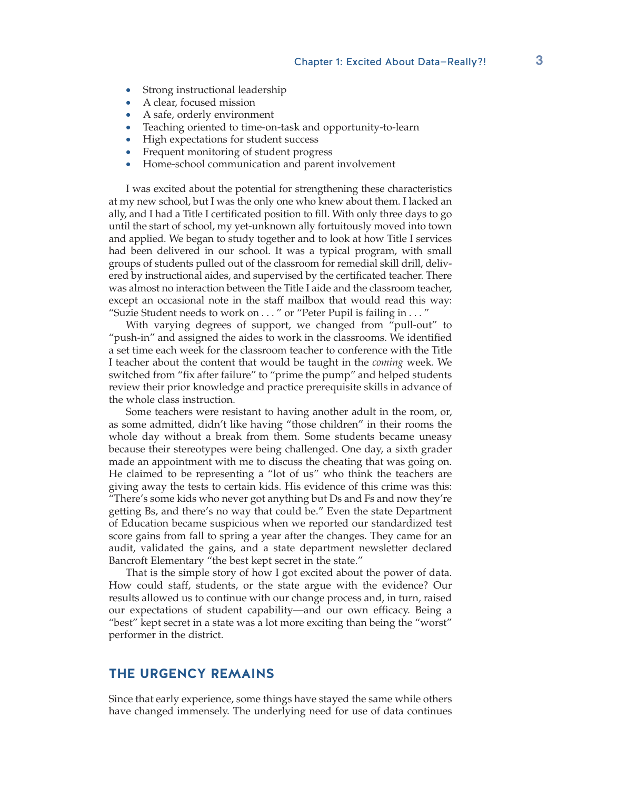- Strong instructional leadership
- A clear, focused mission
- A safe, orderly environment
- Teaching oriented to time-on-task and opportunity-to-learn
- High expectations for student success
- Frequent monitoring of student progress
- Home-school communication and parent involvement

I was excited about the potential for strengthening these characteristics at my new school, but I was the only one who knew about them. I lacked an ally, and I had a Title I certificated position to fill. With only three days to go until the start of school, my yet-unknown ally fortuitously moved into town and applied. We began to study together and to look at how Title I services had been delivered in our school. It was a typical program, with small groups of students pulled out of the classroom for remedial skill drill, delivered by instructional aides, and supervised by the certificated teacher. There was almost no interaction between the Title I aide and the classroom teacher, except an occasional note in the staff mailbox that would read this way: "Suzie Student needs to work on . . . " or "Peter Pupil is failing in . . . "

With varying degrees of support, we changed from "pull-out" to "push-in" and assigned the aides to work in the classrooms. We identified a set time each week for the classroom teacher to conference with the Title I teacher about the content that would be taught in the *coming* week. We switched from "fix after failure" to "prime the pump" and helped students review their prior knowledge and practice prerequisite skills in advance of the whole class instruction.

Some teachers were resistant to having another adult in the room, or, as some admitted, didn't like having "those children" in their rooms the whole day without a break from them. Some students became uneasy because their stereotypes were being challenged. One day, a sixth grader made an appointment with me to discuss the cheating that was going on. He claimed to be representing a "lot of us" who think the teachers are giving away the tests to certain kids. His evidence of this crime was this: "There's some kids who never got anything but Ds and Fs and now they're getting Bs, and there's no way that could be." Even the state Department of Education became suspicious when we reported our standardized test score gains from fall to spring a year after the changes. They came for an audit, validated the gains, and a state department newsletter declared Bancroft Elementary "the best kept secret in the state."

That is the simple story of how I got excited about the power of data. How could staff, students, or the state argue with the evidence? Our results allowed us to continue with our change process and, in turn, raised our expectations of student capability—and our own efficacy. Being a "best" kept secret in a state was a lot more exciting than being the "worst" performer in the district.

#### **THE URGENCY REMAINS**

Since that early experience, some things have stayed the same while others have changed immensely. The underlying need for use of data continues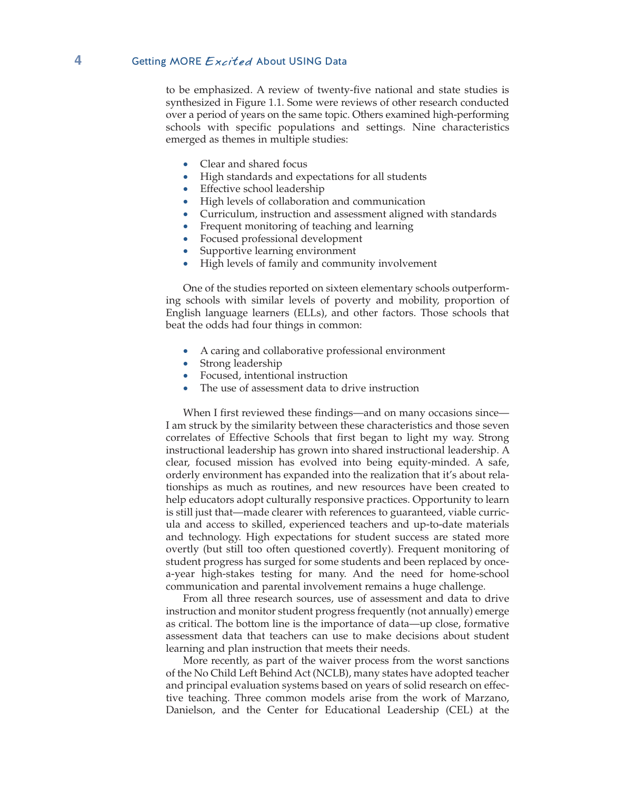to be emphasized. A review of twenty-five national and state studies is synthesized in Figure 1.1. Some were reviews of other research conducted over a period of years on the same topic. Others examined high-performing schools with specific populations and settings. Nine characteristics emerged as themes in multiple studies:

- Clear and shared focus
- High standards and expectations for all students
- Effective school leadership
- High levels of collaboration and communication
- Curriculum, instruction and assessment aligned with standards
- Frequent monitoring of teaching and learning
- Focused professional development
- Supportive learning environment
- High levels of family and community involvement

One of the studies reported on sixteen elementary schools outperforming schools with similar levels of poverty and mobility, proportion of English language learners (ELLs), and other factors. Those schools that beat the odds had four things in common:

- A caring and collaborative professional environment
- Strong leadership
- Focused, intentional instruction
- The use of assessment data to drive instruction

When I first reviewed these findings—and on many occasions since— I am struck by the similarity between these characteristics and those seven correlates of Effective Schools that first began to light my way. Strong instructional leadership has grown into shared instructional leadership. A clear, focused mission has evolved into being equity-minded. A safe, orderly environment has expanded into the realization that it's about relationships as much as routines, and new resources have been created to help educators adopt culturally responsive practices. Opportunity to learn is still just that—made clearer with references to guaranteed, viable curricula and access to skilled, experienced teachers and up-to-date materials and technology. High expectations for student success are stated more overtly (but still too often questioned covertly). Frequent monitoring of student progress has surged for some students and been replaced by oncea-year high-stakes testing for many. And the need for home-school communication and parental involvement remains a huge challenge.

From all three research sources, use of assessment and data to drive instruction and monitor student progress frequently (not annually) emerge as critical. The bottom line is the importance of data—up close, formative assessment data that teachers can use to make decisions about student learning and plan instruction that meets their needs.

More recently, as part of the waiver process from the worst sanctions of the No Child Left Behind Act (NCLB), many states have adopted teacher and principal evaluation systems based on years of solid research on effective teaching. Three common models arise from the work of Marzano, Danielson, and the Center for Educational Leadership (CEL) at the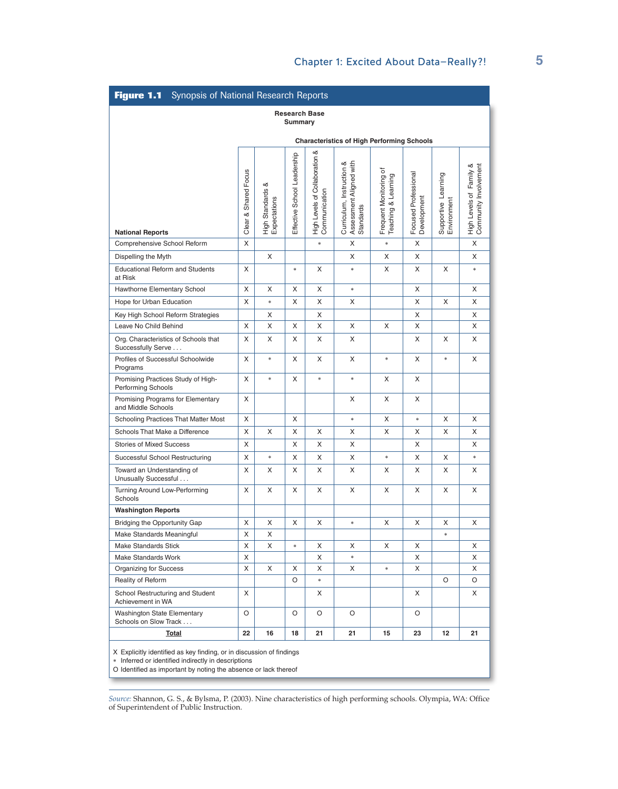| <b>Research Base</b>                                                                                                                                                                           |                                                   |                                       |                             |                                                 |                                                                     |                                               |                                     |                                    |                                                  |
|------------------------------------------------------------------------------------------------------------------------------------------------------------------------------------------------|---------------------------------------------------|---------------------------------------|-----------------------------|-------------------------------------------------|---------------------------------------------------------------------|-----------------------------------------------|-------------------------------------|------------------------------------|--------------------------------------------------|
| Summary                                                                                                                                                                                        |                                                   |                                       |                             |                                                 |                                                                     |                                               |                                     |                                    |                                                  |
|                                                                                                                                                                                                | <b>Characteristics of High Performing Schools</b> |                                       |                             |                                                 |                                                                     |                                               |                                     |                                    |                                                  |
| <b>National Reports</b>                                                                                                                                                                        | Shared Focus<br>Clear &                           | య<br>High Standards &<br>Expectations | Effective School Leadership | High Levels of Collaboration &<br>Communication | Assessment Aligned with<br>  Assessment Aligned with<br>  Standards | Frequent Monitoring of<br>Teaching & Learning | Focused Professional<br>Development | Supportive Learning<br>Environment | High Levels of Family &<br>Community Involvement |
| Comprehensive School Reform                                                                                                                                                                    | X                                                 |                                       |                             | $\ast$                                          | X                                                                   | $\ast$                                        | X                                   |                                    | X                                                |
| Dispelling the Myth                                                                                                                                                                            |                                                   | X                                     |                             |                                                 | X                                                                   | X                                             | X                                   |                                    | X                                                |
| <b>Educational Reform and Students</b><br>at Risk                                                                                                                                              | X                                                 |                                       | $\ast$                      | X                                               | $\ast$                                                              | X                                             | X                                   | X                                  | $\ast$                                           |
| Hawthorne Elementary School                                                                                                                                                                    | X                                                 | X                                     | X                           | X                                               | $\ast$                                                              |                                               | X                                   |                                    | X                                                |
| Hope for Urban Education                                                                                                                                                                       | X                                                 | *                                     | X                           | X                                               | X                                                                   |                                               | X                                   | X                                  | X                                                |
| Key High School Reform Strategies                                                                                                                                                              |                                                   | X                                     |                             | X                                               |                                                                     |                                               | X                                   |                                    | X                                                |
| Leave No Child Behind                                                                                                                                                                          | X                                                 | X                                     | X                           | X                                               | X                                                                   | X                                             | X                                   |                                    | X                                                |
| Org. Characteristics of Schools that<br>Successfully Serve                                                                                                                                     | X                                                 | X                                     | X                           | X                                               | X                                                                   |                                               | X                                   | X                                  | X                                                |
| Profiles of Successful Schoolwide<br>Programs                                                                                                                                                  | X                                                 | *                                     | X                           | X                                               | X                                                                   | $\ast$                                        | X                                   | $\ast$                             | X                                                |
| Promising Practices Study of High-<br>Performing Schools                                                                                                                                       | X                                                 | *                                     | X                           | *                                               | $\ast$                                                              | X                                             | X                                   |                                    |                                                  |
| Promising Programs for Elementary<br>and Middle Schools                                                                                                                                        | X                                                 |                                       |                             |                                                 | X                                                                   | X                                             | X                                   |                                    |                                                  |
| Schooling Practices That Matter Most                                                                                                                                                           | X                                                 |                                       | X                           |                                                 | $\ast$                                                              | X                                             | $\ast$                              | X                                  | X                                                |
| Schools That Make a Difference                                                                                                                                                                 | X                                                 | Χ                                     | X                           | Χ                                               | X                                                                   | X                                             | X                                   | X                                  | X                                                |
| <b>Stories of Mixed Success</b>                                                                                                                                                                | X                                                 |                                       | X                           | X                                               | X                                                                   |                                               | X                                   |                                    | X                                                |
| Successful School Restructuring                                                                                                                                                                | X                                                 | *                                     | X                           | Χ                                               | X                                                                   | $\ast$                                        | X                                   | X                                  | $\ast$                                           |
| Toward an Understanding of<br>Unusually Successful                                                                                                                                             | X                                                 | X                                     | X                           | X                                               | X                                                                   | X                                             | X                                   | X                                  | X                                                |
| Turning Around Low-Performing<br>Schools                                                                                                                                                       | X                                                 | X                                     | Χ                           | X                                               | X                                                                   | X                                             | X                                   | X                                  | X                                                |
| <b>Washington Reports</b>                                                                                                                                                                      |                                                   |                                       |                             |                                                 |                                                                     |                                               |                                     |                                    |                                                  |
| <b>Bridging the Opportunity Gap</b>                                                                                                                                                            | X                                                 | X                                     | X                           | X                                               | $\ast$                                                              | X                                             | X                                   | X                                  | X                                                |
| Make Standards Meaningful                                                                                                                                                                      | X                                                 | X                                     |                             |                                                 |                                                                     |                                               |                                     | $\ast$                             |                                                  |
| Make Standards Stick                                                                                                                                                                           | X                                                 | X                                     | $\ast$                      | X                                               | X                                                                   | X                                             | X                                   |                                    | X                                                |
| Make Standards Work                                                                                                                                                                            | X                                                 |                                       |                             | X                                               | $\ast$                                                              |                                               | X                                   |                                    | X                                                |
| <b>Organizing for Success</b>                                                                                                                                                                  | X                                                 | X                                     | Χ                           | X                                               | X                                                                   | $\ast$                                        | Х                                   |                                    | X                                                |
| Reality of Reform                                                                                                                                                                              |                                                   |                                       | O                           | $\ast$                                          |                                                                     |                                               |                                     | O                                  | O                                                |
| School Restructuring and Student<br>Achievement in WA                                                                                                                                          | X                                                 |                                       |                             | X                                               |                                                                     |                                               | X                                   |                                    | X                                                |
| <b>Washington State Elementary</b><br>Schools on Slow Track                                                                                                                                    | O                                                 |                                       | O                           | O                                               | O                                                                   |                                               | O                                   |                                    |                                                  |
| Total                                                                                                                                                                                          | 22                                                | 16                                    | 18                          | 21                                              | 21                                                                  | 15                                            | 23                                  | 12                                 | 21                                               |
| X Explicitly identified as key finding, or in discussion of findings<br>* Inferred or identified indirectly in descriptions<br>O Identified as important by noting the absence or lack thereof |                                                   |                                       |                             |                                                 |                                                                     |                                               |                                     |                                    |                                                  |

*Source:* Shannon, G. S., & Bylsma, P. (2003). Nine characteristics of high performing schools. Olympia, WA: Office of Superintendent of Public Instruction.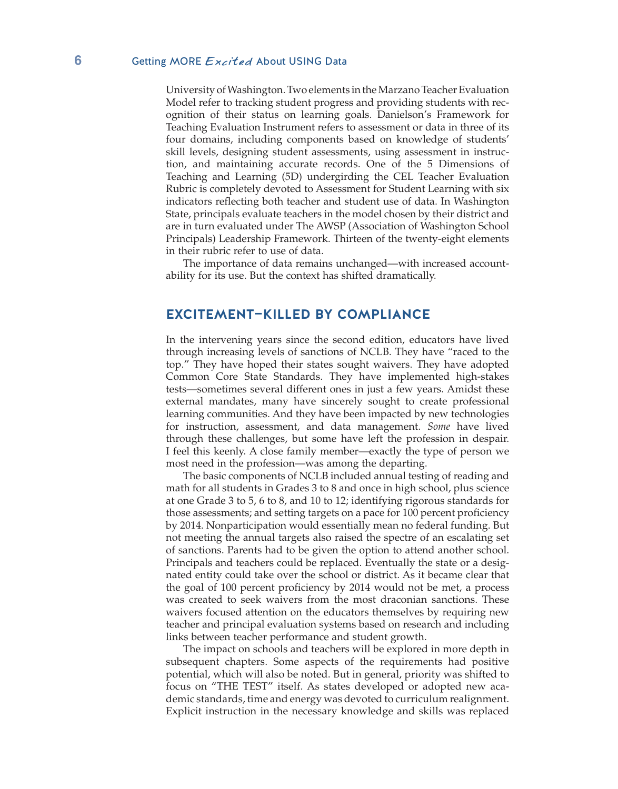University of Washington. Two elements in the Marzano Teacher Evaluation Model refer to tracking student progress and providing students with recognition of their status on learning goals. Danielson's Framework for Teaching Evaluation Instrument refers to assessment or data in three of its four domains, including components based on knowledge of students' skill levels, designing student assessments, using assessment in instruction, and maintaining accurate records. One of the 5 Dimensions of Teaching and Learning (5D) undergirding the CEL Teacher Evaluation Rubric is completely devoted to Assessment for Student Learning with six indicators reflecting both teacher and student use of data. In Washington State, principals evaluate teachers in the model chosen by their district and are in turn evaluated under The AWSP (Association of Washington School Principals) Leadership Framework. Thirteen of the twenty-eight elements in their rubric refer to use of data.

The importance of data remains unchanged—with increased accountability for its use. But the context has shifted dramatically.

#### **EXCITEMENT—KILLED BY COMPLIANCE**

In the intervening years since the second edition, educators have lived through increasing levels of sanctions of NCLB. They have "raced to the top." They have hoped their states sought waivers. They have adopted Common Core State Standards. They have implemented high-stakes tests—sometimes several different ones in just a few years. Amidst these external mandates, many have sincerely sought to create professional learning communities. And they have been impacted by new technologies for instruction, assessment, and data management. *Some* have lived through these challenges, but some have left the profession in despair. I feel this keenly. A close family member—exactly the type of person we most need in the profession—was among the departing.

The basic components of NCLB included annual testing of reading and math for all students in Grades 3 to 8 and once in high school, plus science at one Grade 3 to 5, 6 to 8, and 10 to 12; identifying rigorous standards for those assessments; and setting targets on a pace for 100 percent proficiency by 2014. Nonparticipation would essentially mean no federal funding. But not meeting the annual targets also raised the spectre of an escalating set of sanctions. Parents had to be given the option to attend another school. Principals and teachers could be replaced. Eventually the state or a designated entity could take over the school or district. As it became clear that the goal of 100 percent proficiency by 2014 would not be met, a process was created to seek waivers from the most draconian sanctions. These waivers focused attention on the educators themselves by requiring new teacher and principal evaluation systems based on research and including links between teacher performance and student growth.

The impact on schools and teachers will be explored in more depth in subsequent chapters. Some aspects of the requirements had positive potential, which will also be noted. But in general, priority was shifted to focus on "THE TEST" itself. As states developed or adopted new academic standards, time and energy was devoted to curriculum realignment. Explicit instruction in the necessary knowledge and skills was replaced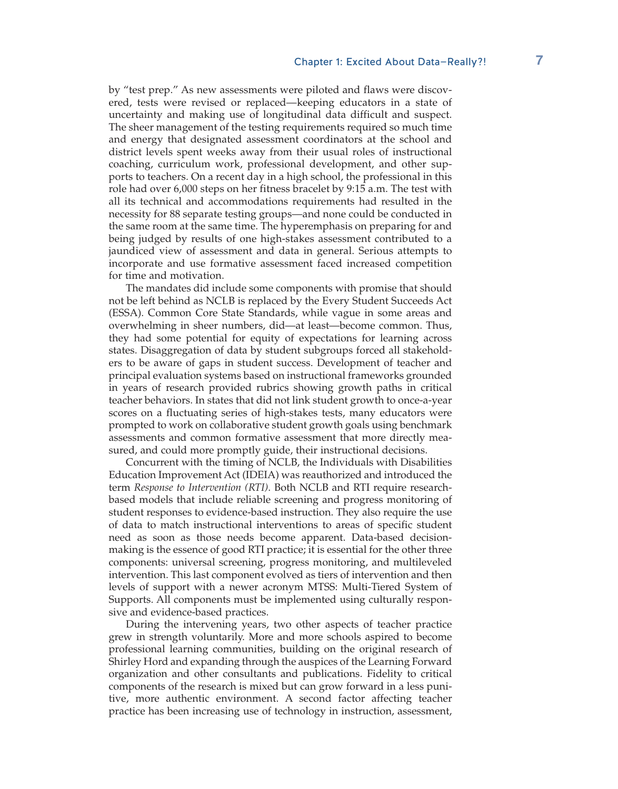by "test prep." As new assessments were piloted and flaws were discovered, tests were revised or replaced—keeping educators in a state of uncertainty and making use of longitudinal data difficult and suspect. The sheer management of the testing requirements required so much time and energy that designated assessment coordinators at the school and district levels spent weeks away from their usual roles of instructional coaching, curriculum work, professional development, and other supports to teachers. On a recent day in a high school, the professional in this role had over 6,000 steps on her fitness bracelet by 9:15 a.m. The test with all its technical and accommodations requirements had resulted in the necessity for 88 separate testing groups—and none could be conducted in the same room at the same time. The hyperemphasis on preparing for and being judged by results of one high-stakes assessment contributed to a jaundiced view of assessment and data in general. Serious attempts to incorporate and use formative assessment faced increased competition for time and motivation.

The mandates did include some components with promise that should not be left behind as NCLB is replaced by the Every Student Succeeds Act (ESSA). Common Core State Standards, while vague in some areas and overwhelming in sheer numbers, did—at least—become common. Thus, they had some potential for equity of expectations for learning across states. Disaggregation of data by student subgroups forced all stakeholders to be aware of gaps in student success. Development of teacher and principal evaluation systems based on instructional frameworks grounded in years of research provided rubrics showing growth paths in critical teacher behaviors. In states that did not link student growth to once-a-year scores on a fluctuating series of high-stakes tests, many educators were prompted to work on collaborative student growth goals using benchmark assessments and common formative assessment that more directly measured, and could more promptly guide, their instructional decisions.

Concurrent with the timing of NCLB, the Individuals with Disabilities Education Improvement Act (IDEIA) was reauthorized and introduced the term *Response to Intervention (RTI)*. Both NCLB and RTI require researchbased models that include reliable screening and progress monitoring of student responses to evidence-based instruction. They also require the use of data to match instructional interventions to areas of specific student need as soon as those needs become apparent. Data-based decisionmaking is the essence of good RTI practice; it is essential for the other three components: universal screening, progress monitoring, and multileveled intervention. This last component evolved as tiers of intervention and then levels of support with a newer acronym MTSS: Multi-Tiered System of Supports. All components must be implemented using culturally responsive and evidence-based practices.

During the intervening years, two other aspects of teacher practice grew in strength voluntarily. More and more schools aspired to become professional learning communities, building on the original research of Shirley Hord and expanding through the auspices of the Learning Forward organization and other consultants and publications. Fidelity to critical components of the research is mixed but can grow forward in a less punitive, more authentic environment. A second factor affecting teacher practice has been increasing use of technology in instruction, assessment,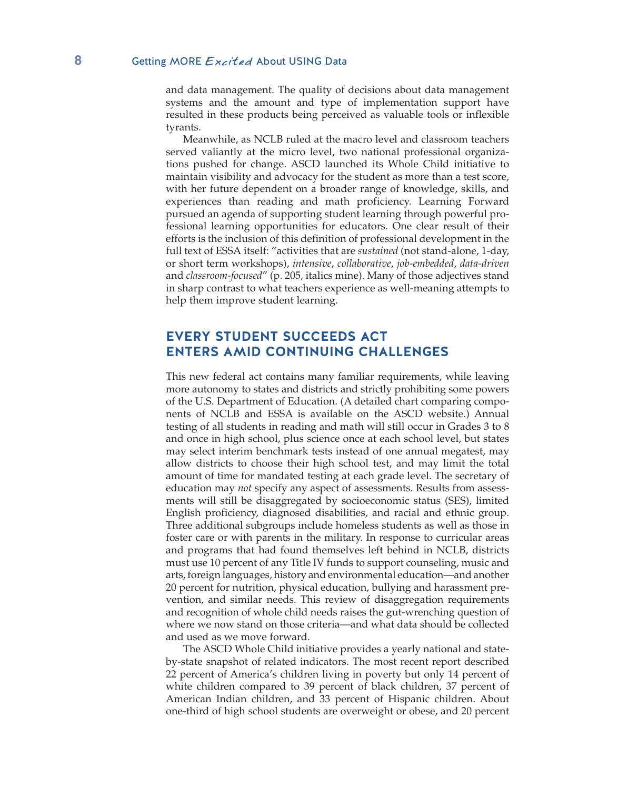and data management. The quality of decisions about data management systems and the amount and type of implementation support have resulted in these products being perceived as valuable tools or inflexible tyrants.

Meanwhile, as NCLB ruled at the macro level and classroom teachers served valiantly at the micro level, two national professional organizations pushed for change. ASCD launched its Whole Child initiative to maintain visibility and advocacy for the student as more than a test score, with her future dependent on a broader range of knowledge, skills, and experiences than reading and math proficiency. Learning Forward pursued an agenda of supporting student learning through powerful professional learning opportunities for educators. One clear result of their efforts is the inclusion of this definition of professional development in the full text of ESSA itself: "activities that are *sustained* (not stand-alone, 1-day, or short term workshops), *intensive*, *collaborative*, *job-embedded*, *data-driven* and *classroom-focused*" (p. 205, italics mine). Many of those adjectives stand in sharp contrast to what teachers experience as well-meaning attempts to help them improve student learning.

# **EVERY STUDENT SUCCEEDS ACT ENTERS AMID CONTINUING CHALLENGES**

This new federal act contains many familiar requirements, while leaving more autonomy to states and districts and strictly prohibiting some powers of the U.S. Department of Education. (A detailed chart comparing components of NCLB and ESSA is available on the ASCD website.) Annual testing of all students in reading and math will still occur in Grades 3 to 8 and once in high school, plus science once at each school level, but states may select interim benchmark tests instead of one annual megatest, may allow districts to choose their high school test, and may limit the total amount of time for mandated testing at each grade level. The secretary of education may *not* specify any aspect of assessments. Results from assessments will still be disaggregated by socioeconomic status (SES), limited English proficiency, diagnosed disabilities, and racial and ethnic group. Three additional subgroups include homeless students as well as those in foster care or with parents in the military. In response to curricular areas and programs that had found themselves left behind in NCLB, districts must use 10 percent of any Title IV funds to support counseling, music and arts, foreign languages, history and environmental education—and another 20 percent for nutrition, physical education, bullying and harassment prevention, and similar needs. This review of disaggregation requirements and recognition of whole child needs raises the gut-wrenching question of where we now stand on those criteria—and what data should be collected and used as we move forward.

The ASCD Whole Child initiative provides a yearly national and stateby-state snapshot of related indicators. The most recent report described 22 percent of America's children living in poverty but only 14 percent of white children compared to 39 percent of black children, 37 percent of American Indian children, and 33 percent of Hispanic children. About one-third of high school students are overweight or obese, and 20 percent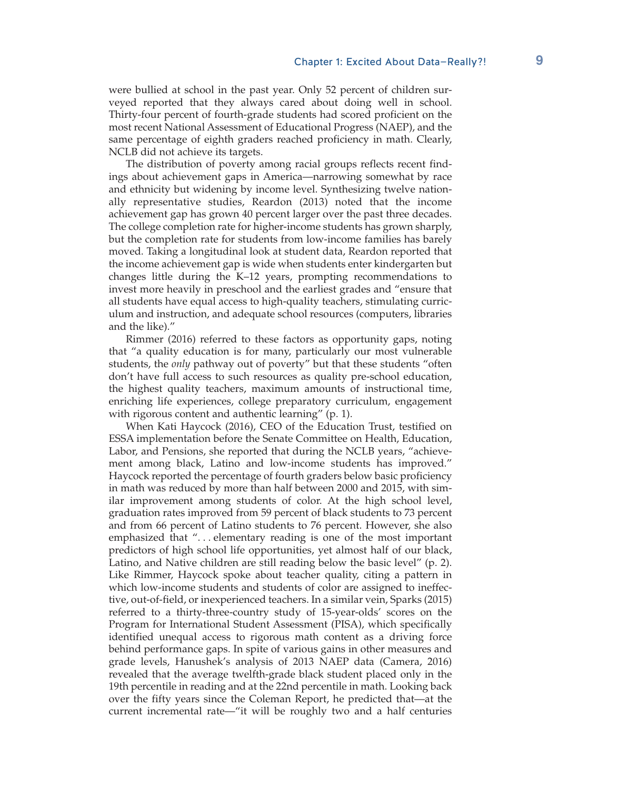were bullied at school in the past year. Only 52 percent of children surveyed reported that they always cared about doing well in school. Thirty-four percent of fourth-grade students had scored proficient on the most recent National Assessment of Educational Progress (NAEP), and the same percentage of eighth graders reached proficiency in math. Clearly, NCLB did not achieve its targets.

The distribution of poverty among racial groups reflects recent findings about achievement gaps in America—narrowing somewhat by race and ethnicity but widening by income level. Synthesizing twelve nationally representative studies, Reardon (2013) noted that the income achievement gap has grown 40 percent larger over the past three decades. The college completion rate for higher-income students has grown sharply, but the completion rate for students from low-income families has barely moved. Taking a longitudinal look at student data, Reardon reported that the income achievement gap is wide when students enter kindergarten but changes little during the K–12 years, prompting recommendations to invest more heavily in preschool and the earliest grades and "ensure that all students have equal access to high-quality teachers, stimulating curriculum and instruction, and adequate school resources (computers, libraries and the like)."

Rimmer (2016) referred to these factors as opportunity gaps, noting that "a quality education is for many, particularly our most vulnerable students, the *only* pathway out of poverty" but that these students "often don't have full access to such resources as quality pre-school education, the highest quality teachers, maximum amounts of instructional time, enriching life experiences, college preparatory curriculum, engagement with rigorous content and authentic learning" (p. 1).

When Kati Haycock (2016), CEO of the Education Trust, testified on ESSA implementation before the Senate Committee on Health, Education, Labor, and Pensions, she reported that during the NCLB years, "achievement among black, Latino and low-income students has improved." Haycock reported the percentage of fourth graders below basic proficiency in math was reduced by more than half between 2000 and 2015, with similar improvement among students of color. At the high school level, graduation rates improved from 59 percent of black students to 73 percent and from 66 percent of Latino students to 76 percent. However, she also emphasized that "... elementary reading is one of the most important predictors of high school life opportunities, yet almost half of our black, Latino, and Native children are still reading below the basic level" (p. 2). Like Rimmer, Haycock spoke about teacher quality, citing a pattern in which low-income students and students of color are assigned to ineffective, out-of-field, or inexperienced teachers. In a similar vein, Sparks (2015) referred to a thirty-three-country study of 15-year-olds' scores on the Program for International Student Assessment (PISA), which specifically identified unequal access to rigorous math content as a driving force behind performance gaps. In spite of various gains in other measures and grade levels, Hanushek's analysis of 2013 NAEP data (Camera, 2016) revealed that the average twelfth-grade black student placed only in the 19th percentile in reading and at the 22nd percentile in math. Looking back over the fifty years since the Coleman Report, he predicted that—at the current incremental rate—"it will be roughly two and a half centuries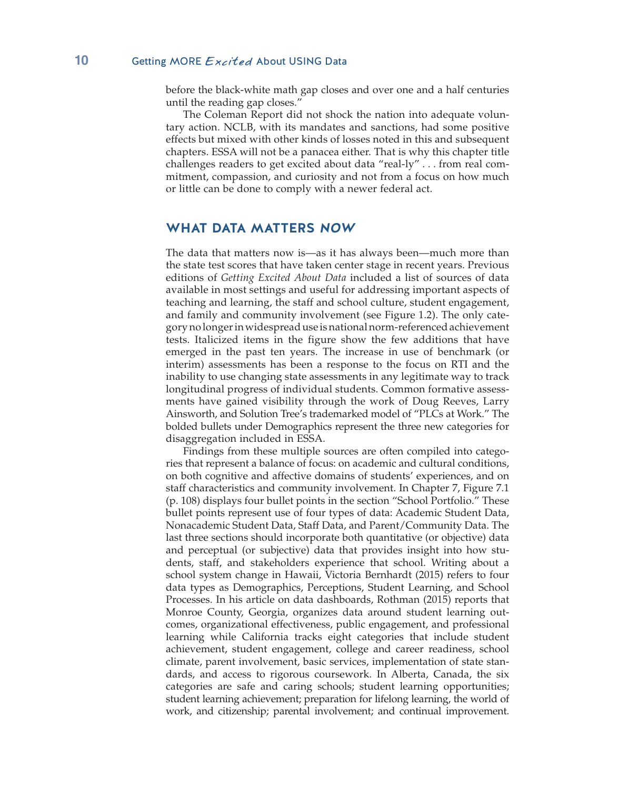before the black-white math gap closes and over one and a half centuries until the reading gap closes."

The Coleman Report did not shock the nation into adequate voluntary action. NCLB, with its mandates and sanctions, had some positive effects but mixed with other kinds of losses noted in this and subsequent chapters. ESSA will not be a panacea either. That is why this chapter title challenges readers to get excited about data "real-ly" . . . from real commitment, compassion, and curiosity and not from a focus on how much or little can be done to comply with a newer federal act.

# **WHAT DATA MATTERS NOW**

The data that matters now is—as it has always been—much more than the state test scores that have taken center stage in recent years. Previous editions of *Getting Excited About Data* included a list of sources of data available in most settings and useful for addressing important aspects of teaching and learning, the staff and school culture, student engagement, and family and community involvement (see Figure 1.2). The only category no longer in widespread use is national norm-referenced achievement tests. Italicized items in the figure show the few additions that have emerged in the past ten years. The increase in use of benchmark (or interim) assessments has been a response to the focus on RTI and the inability to use changing state assessments in any legitimate way to track longitudinal progress of individual students. Common formative assessments have gained visibility through the work of Doug Reeves, Larry Ainsworth, and Solution Tree's trademarked model of "PLCs at Work." The bolded bullets under Demographics represent the three new categories for disaggregation included in ESSA.

Findings from these multiple sources are often compiled into categories that represent a balance of focus: on academic and cultural conditions, on both cognitive and affective domains of students' experiences, and on staff characteristics and community involvement. In Chapter 7, Figure 7.1 (p. 108) displays four bullet points in the section "School Portfolio." These bullet points represent use of four types of data: Academic Student Data, Nonacademic Student Data, Staff Data, and Parent/Community Data. The last three sections should incorporate both quantitative (or objective) data and perceptual (or subjective) data that provides insight into how students, staff, and stakeholders experience that school. Writing about a school system change in Hawaii, Victoria Bernhardt (2015) refers to four data types as Demographics, Perceptions, Student Learning, and School Processes. In his article on data dashboards, Rothman (2015) reports that Monroe County, Georgia, organizes data around student learning outcomes, organizational effectiveness, public engagement, and professional learning while California tracks eight categories that include student achievement, student engagement, college and career readiness, school climate, parent involvement, basic services, implementation of state standards, and access to rigorous coursework. In Alberta, Canada, the six categories are safe and caring schools; student learning opportunities; student learning achievement; preparation for lifelong learning, the world of work, and citizenship; parental involvement; and continual improvement.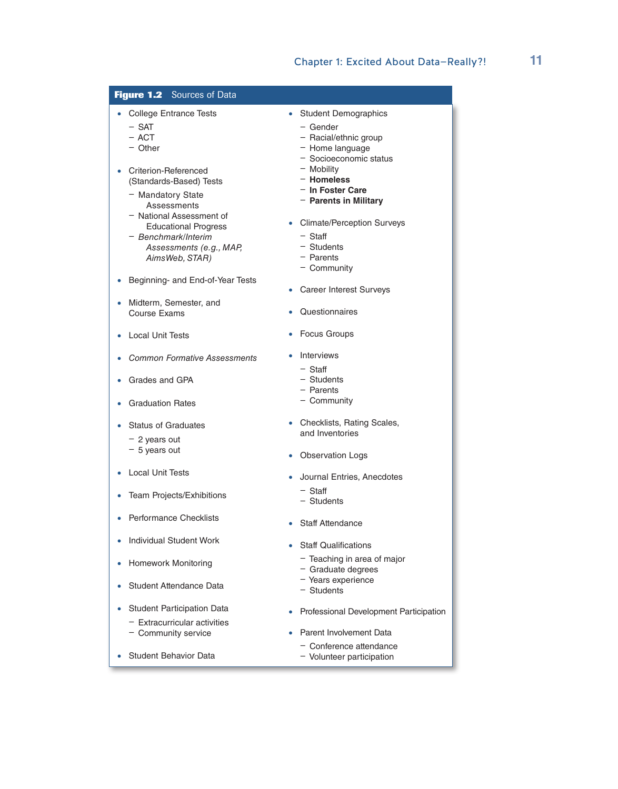| Figure 1.2 Sources of Data                                                                                                                          |                                                                                                                            |
|-----------------------------------------------------------------------------------------------------------------------------------------------------|----------------------------------------------------------------------------------------------------------------------------|
| <b>College Entrance Tests</b><br>٠<br>$-$ SAT<br>$-$ ACT<br>- Other                                                                                 | <b>Student Demographics</b><br>$\bullet$<br>- Gender<br>- Racial/ethnic group<br>- Home language<br>- Socioeconomic status |
| Criterion-Referenced<br>۰<br>(Standards-Based) Tests<br>- Mandatory State<br>Assessments<br>- National Assessment of<br><b>Educational Progress</b> | - Mobility<br>- Homeless<br>$-$ In Foster Care<br>- Parents in Military<br>• Climate/Perception Surveys                    |
| - Benchmark/Interim<br>Assessments (e.g., MAP,<br>AimsWeb, STAR)                                                                                    | $-$ Staff<br>- Students<br>- Parents<br>$-$ Community                                                                      |
| Beginning- and End-of-Year Tests<br>$\bullet$                                                                                                       | <b>Career Interest Surveys</b>                                                                                             |
| Midterm, Semester, and<br><b>Course Exams</b>                                                                                                       | Questionnaires                                                                                                             |
| <b>Local Unit Tests</b>                                                                                                                             | Focus Groups<br>۰                                                                                                          |
| <b>Common Formative Assessments</b>                                                                                                                 | Interviews<br>- Staff                                                                                                      |
| Grades and GPA                                                                                                                                      | - Students<br>- Parents                                                                                                    |
| <b>Graduation Rates</b>                                                                                                                             | - Community                                                                                                                |
| <b>Status of Graduates</b><br>- 2 years out                                                                                                         | • Checklists, Rating Scales,<br>and Inventories                                                                            |
| $-5$ years out                                                                                                                                      | <b>Observation Logs</b><br>$\bullet$                                                                                       |
| <b>Local Unit Tests</b>                                                                                                                             | Journal Entries, Anecdotes                                                                                                 |
| Team Projects/Exhibitions                                                                                                                           | - Staff<br>$-$ Students                                                                                                    |
| <b>Performance Checklists</b>                                                                                                                       | <b>Staff Attendance</b>                                                                                                    |
| <b>Individual Student Work</b>                                                                                                                      | <b>Staff Qualifications</b><br>$\bullet$                                                                                   |
| <b>Homework Monitoring</b><br>٠                                                                                                                     | $-$ Teaching in area of major<br>$-$ Graduate degrees                                                                      |
| Student Attendance Data                                                                                                                             | - Years experience<br>$-$ Students                                                                                         |
| Student Participation Data                                                                                                                          | Professional Development Participation                                                                                     |

– Extracurricular activities – Community service

• Student Behavior Data

- Parent Involvement Data
	- Conference attendance
	- Volunteer participation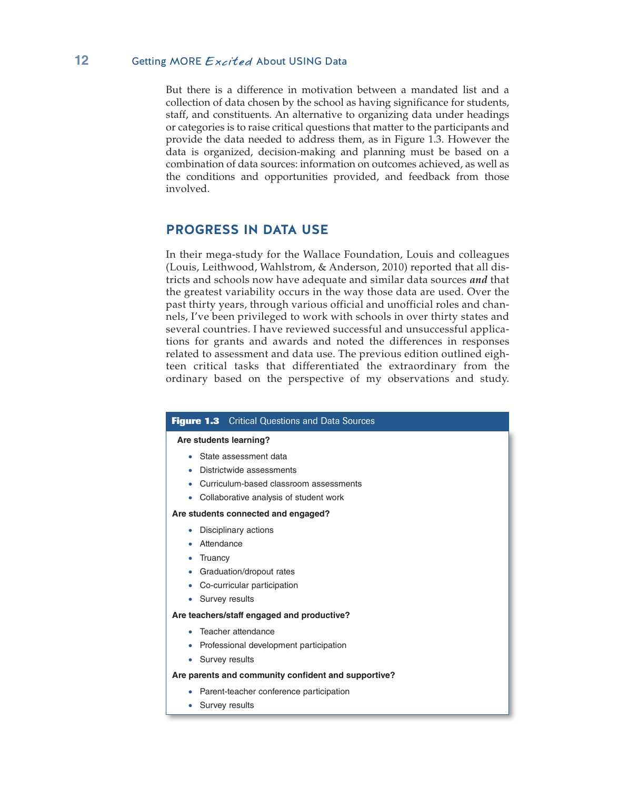But there is a difference in motivation between a mandated list and a collection of data chosen by the school as having significance for students, staff, and constituents. An alternative to organizing data under headings or categories is to raise critical questions that matter to the participants and provide the data needed to address them, as in Figure 1.3. However the data is organized, decision-making and planning must be based on a combination of data sources: information on outcomes achieved, as well as the conditions and opportunities provided, and feedback from those involved.

# **PROGRESS IN DATA USE**

In their mega-study for the Wallace Foundation, Louis and colleagues (Louis, Leithwood, Wahlstrom, & Anderson, 2010) reported that all districts and schools now have adequate and similar data sources *and* that the greatest variability occurs in the way those data are used. Over the past thirty years, through various official and unofficial roles and channels, I've been privileged to work with schools in over thirty states and several countries. I have reviewed successful and unsuccessful applications for grants and awards and noted the differences in responses related to assessment and data use. The previous edition outlined eighteen critical tasks that differentiated the extraordinary from the ordinary based on the perspective of my observations and study.

| <b>Figure 1.3</b> Critical Questions and Data Sources |
|-------------------------------------------------------|
| Are students learning?                                |
| State assessment data<br>$\bullet$                    |
| Districtwide assessments<br>$\bullet$                 |
| Curriculum-based classroom assessments<br>$\bullet$   |
| Collaborative analysis of student work<br>$\bullet$   |
| Are students connected and engaged?                   |
| Disciplinary actions<br>$\bullet$                     |
| Attendance<br>$\bullet$                               |
| Truancy<br>$\bullet$                                  |
| Graduation/dropout rates<br>$\bullet$                 |
| Co-curricular participation                           |
| Survey results<br>$\bullet$                           |
| Are teachers/staff engaged and productive?            |
| Teacher attendance<br>۰                               |
| Professional development participation<br>$\bullet$   |
| Survey results<br>$\bullet$                           |
| Are parents and community confident and supportive?   |
| Parent-teacher conference participation<br>$\bullet$  |
| Survey results<br>۰                                   |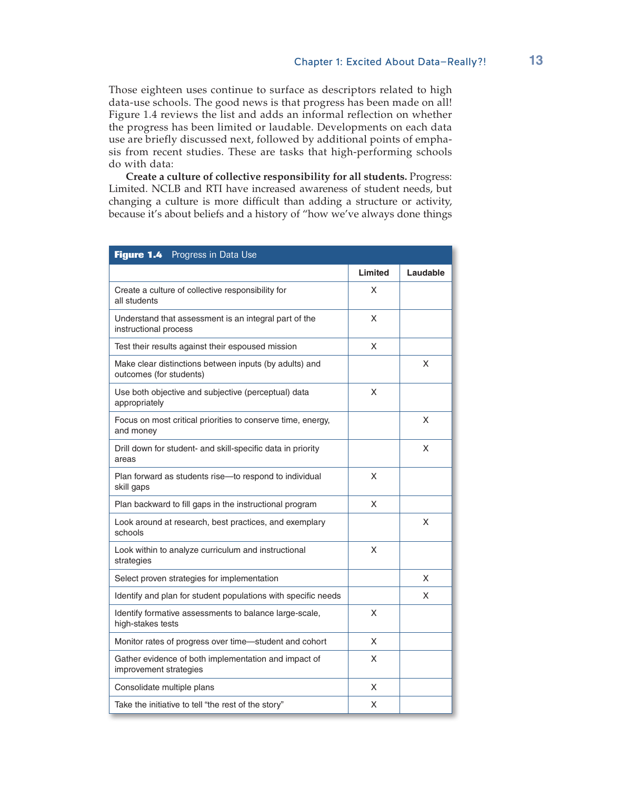Those eighteen uses continue to surface as descriptors related to high data-use schools. The good news is that progress has been made on all! Figure 1.4 reviews the list and adds an informal reflection on whether the progress has been limited or laudable. Developments on each data use are briefly discussed next, followed by additional points of emphasis from recent studies. These are tasks that high-performing schools do with data:

**Create a culture of collective responsibility for all students.** Progress: Limited. NCLB and RTI have increased awareness of student needs, but changing a culture is more difficult than adding a structure or activity, because it's about beliefs and a history of "how we've always done things

| Figure 1.4 Progress in Data Use                                                   |         |          |  |  |
|-----------------------------------------------------------------------------------|---------|----------|--|--|
|                                                                                   | Limited | Laudable |  |  |
| Create a culture of collective responsibility for<br>all students                 | X       |          |  |  |
| Understand that assessment is an integral part of the<br>instructional process    | X       |          |  |  |
| Test their results against their espoused mission                                 | X       |          |  |  |
| Make clear distinctions between inputs (by adults) and<br>outcomes (for students) |         | X        |  |  |
| Use both objective and subjective (perceptual) data<br>appropriately              | X       |          |  |  |
| Focus on most critical priorities to conserve time, energy,<br>and money          |         | X        |  |  |
| Drill down for student- and skill-specific data in priority<br>areas              |         | X        |  |  |
| Plan forward as students rise-to respond to individual<br>skill gaps              | X       |          |  |  |
| Plan backward to fill gaps in the instructional program                           | X       |          |  |  |
| Look around at research, best practices, and exemplary<br>schools                 |         | X        |  |  |
| Look within to analyze curriculum and instructional<br>strategies                 | X       |          |  |  |
| Select proven strategies for implementation                                       |         | X        |  |  |
| Identify and plan for student populations with specific needs                     |         | X        |  |  |
| Identify formative assessments to balance large-scale,<br>high-stakes tests       | X       |          |  |  |
| Monitor rates of progress over time-student and cohort                            | X       |          |  |  |
| Gather evidence of both implementation and impact of<br>improvement strategies    | X       |          |  |  |
| Consolidate multiple plans                                                        | X       |          |  |  |
| Take the initiative to tell "the rest of the story"                               | X       |          |  |  |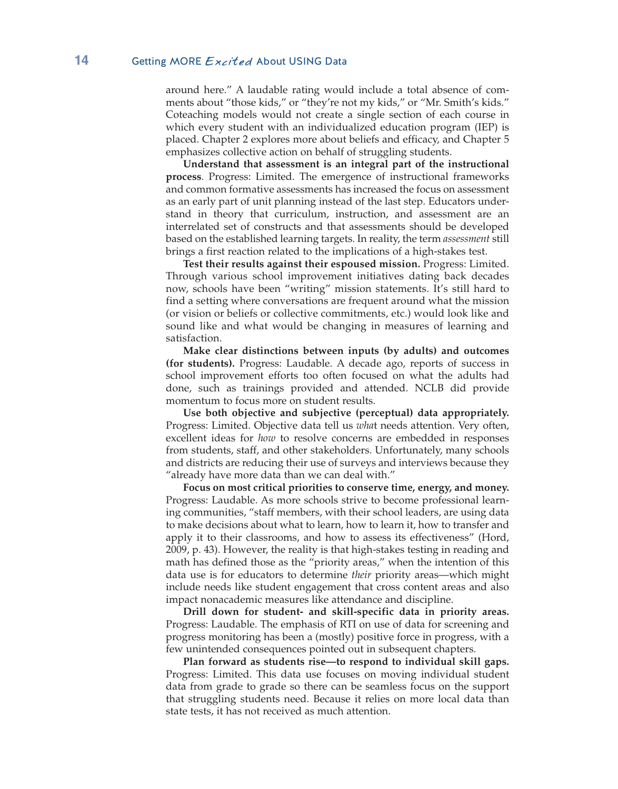around here." A laudable rating would include a total absence of comments about "those kids," or "they're not my kids," or "Mr. Smith's kids." Coteaching models would not create a single section of each course in which every student with an individualized education program (IEP) is placed. Chapter 2 explores more about beliefs and efficacy, and Chapter 5 emphasizes collective action on behalf of struggling students.

**Understand that assessment is an integral part of the instructional process**. Progress: Limited. The emergence of instructional frameworks and common formative assessments has increased the focus on assessment as an early part of unit planning instead of the last step. Educators understand in theory that curriculum, instruction, and assessment are an interrelated set of constructs and that assessments should be developed based on the established learning targets. In reality, the term *assessment* still brings a first reaction related to the implications of a high-stakes test.

**Test their results against their espoused mission.** Progress: Limited. Through various school improvement initiatives dating back decades now, schools have been "writing" mission statements. It's still hard to find a setting where conversations are frequent around what the mission (or vision or beliefs or collective commitments, etc.) would look like and sound like and what would be changing in measures of learning and satisfaction.

**Make clear distinctions between inputs (by adults) and outcomes (for students).** Progress: Laudable. A decade ago, reports of success in school improvement efforts too often focused on what the adults had done, such as trainings provided and attended. NCLB did provide momentum to focus more on student results.

**Use both objective and subjective (perceptual) data appropriately.** Progress: Limited. Objective data tell us *wha*t needs attention. Very often, excellent ideas for *how* to resolve concerns are embedded in responses from students, staff, and other stakeholders. Unfortunately, many schools and districts are reducing their use of surveys and interviews because they "already have more data than we can deal with."

**Focus on most critical priorities to conserve time, energy, and money.** Progress: Laudable. As more schools strive to become professional learning communities, "staff members, with their school leaders, are using data to make decisions about what to learn, how to learn it, how to transfer and apply it to their classrooms, and how to assess its effectiveness" (Hord, 2009, p. 43). However, the reality is that high-stakes testing in reading and math has defined those as the "priority areas," when the intention of this data use is for educators to determine *their* priority areas—which might include needs like student engagement that cross content areas and also impact nonacademic measures like attendance and discipline.

**Drill down for student- and skill-specific data in priority areas.** Progress: Laudable. The emphasis of RTI on use of data for screening and progress monitoring has been a (mostly) positive force in progress, with a few unintended consequences pointed out in subsequent chapters.

**Plan forward as students rise—to respond to individual skill gaps.** Progress: Limited. This data use focuses on moving individual student data from grade to grade so there can be seamless focus on the support that struggling students need. Because it relies on more local data than state tests, it has not received as much attention.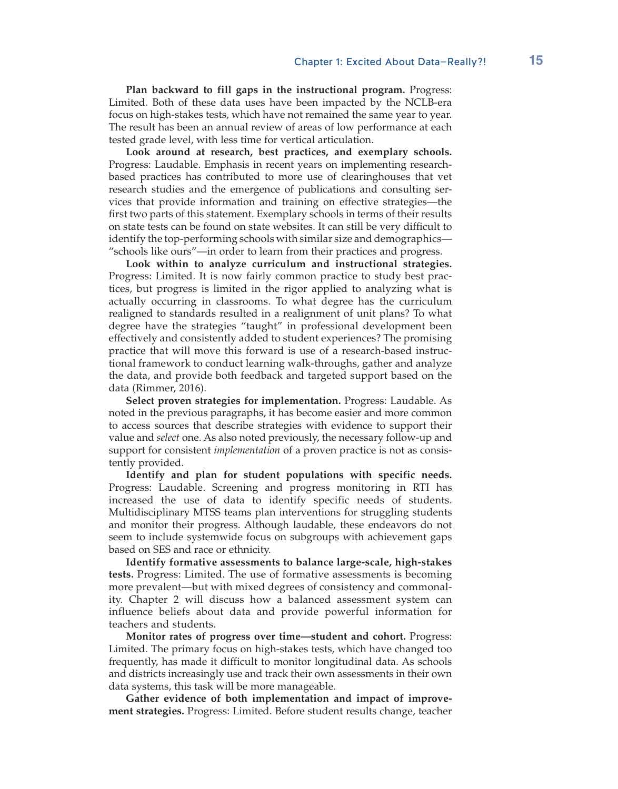**Plan backward to fill gaps in the instructional program.** Progress: Limited. Both of these data uses have been impacted by the NCLB-era focus on high-stakes tests, which have not remained the same year to year. The result has been an annual review of areas of low performance at each tested grade level, with less time for vertical articulation.

**Look around at research, best practices, and exemplary schools.** Progress: Laudable. Emphasis in recent years on implementing researchbased practices has contributed to more use of clearinghouses that vet research studies and the emergence of publications and consulting services that provide information and training on effective strategies—the first two parts of this statement. Exemplary schools in terms of their results on state tests can be found on state websites. It can still be very difficult to identify the top-performing schools with similar size and demographics— "schools like ours"—in order to learn from their practices and progress.

**Look within to analyze curriculum and instructional strategies.** Progress: Limited. It is now fairly common practice to study best practices, but progress is limited in the rigor applied to analyzing what is actually occurring in classrooms. To what degree has the curriculum realigned to standards resulted in a realignment of unit plans? To what degree have the strategies "taught" in professional development been effectively and consistently added to student experiences? The promising practice that will move this forward is use of a research-based instructional framework to conduct learning walk-throughs, gather and analyze the data, and provide both feedback and targeted support based on the data (Rimmer, 2016).

**Select proven strategies for implementation.** Progress: Laudable. As noted in the previous paragraphs, it has become easier and more common to access sources that describe strategies with evidence to support their value and *select* one. As also noted previously, the necessary follow-up and support for consistent *implementation* of a proven practice is not as consistently provided.

**Identify and plan for student populations with specific needs.**  Progress: Laudable. Screening and progress monitoring in RTI has increased the use of data to identify specific needs of students. Multidisciplinary MTSS teams plan interventions for struggling students and monitor their progress. Although laudable, these endeavors do not seem to include systemwide focus on subgroups with achievement gaps based on SES and race or ethnicity.

**Identify formative assessments to balance large-scale, high-stakes tests.** Progress: Limited. The use of formative assessments is becoming more prevalent—but with mixed degrees of consistency and commonality. Chapter 2 will discuss how a balanced assessment system can influence beliefs about data and provide powerful information for teachers and students.

**Monitor rates of progress over time—student and cohort.** Progress: Limited. The primary focus on high-stakes tests, which have changed too frequently, has made it difficult to monitor longitudinal data. As schools and districts increasingly use and track their own assessments in their own data systems, this task will be more manageable.

**Gather evidence of both implementation and impact of improvement strategies.** Progress: Limited. Before student results change, teacher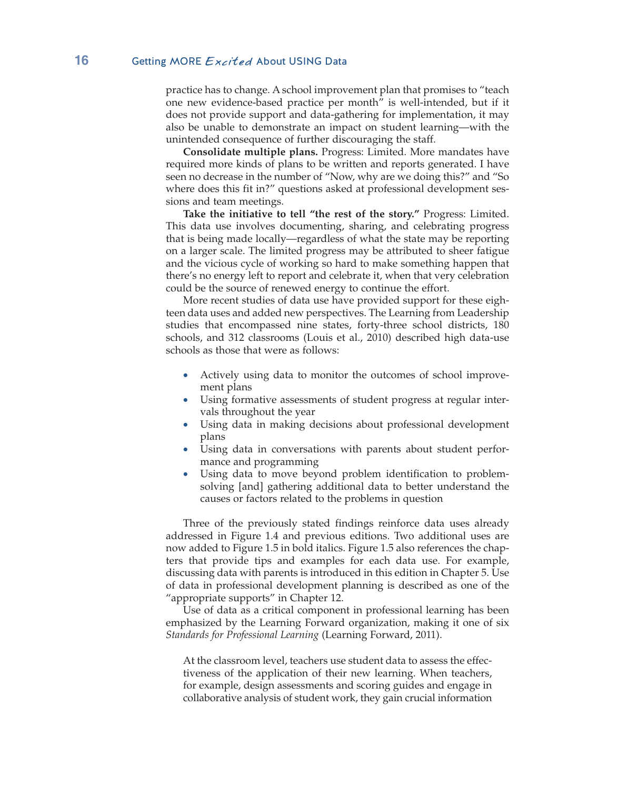practice has to change. A school improvement plan that promises to "teach one new evidence-based practice per month" is well-intended, but if it does not provide support and data-gathering for implementation, it may also be unable to demonstrate an impact on student learning—with the unintended consequence of further discouraging the staff.

**Consolidate multiple plans.** Progress: Limited. More mandates have required more kinds of plans to be written and reports generated. I have seen no decrease in the number of "Now, why are we doing this?" and "So where does this fit in?" questions asked at professional development sessions and team meetings.

**Take the initiative to tell "the rest of the story."** Progress: Limited. This data use involves documenting, sharing, and celebrating progress that is being made locally—regardless of what the state may be reporting on a larger scale. The limited progress may be attributed to sheer fatigue and the vicious cycle of working so hard to make something happen that there's no energy left to report and celebrate it, when that very celebration could be the source of renewed energy to continue the effort.

More recent studies of data use have provided support for these eighteen data uses and added new perspectives. The Learning from Leadership studies that encompassed nine states, forty-three school districts, 180 schools, and 312 classrooms (Louis et al., 2010) described high data-use schools as those that were as follows:

- Actively using data to monitor the outcomes of school improvement plans
- Using formative assessments of student progress at regular intervals throughout the year
- Using data in making decisions about professional development plans
- Using data in conversations with parents about student performance and programming
- Using data to move beyond problem identification to problemsolving [and] gathering additional data to better understand the causes or factors related to the problems in question

Three of the previously stated findings reinforce data uses already addressed in Figure 1.4 and previous editions. Two additional uses are now added to Figure 1.5 in bold italics. Figure 1.5 also references the chapters that provide tips and examples for each data use. For example, discussing data with parents is introduced in this edition in Chapter 5. Use of data in professional development planning is described as one of the "appropriate supports" in Chapter 12.

Use of data as a critical component in professional learning has been emphasized by the Learning Forward organization, making it one of six *Standards for Professional Learning* (Learning Forward, 2011).

At the classroom level, teachers use student data to assess the effectiveness of the application of their new learning. When teachers, for example, design assessments and scoring guides and engage in collaborative analysis of student work, they gain crucial information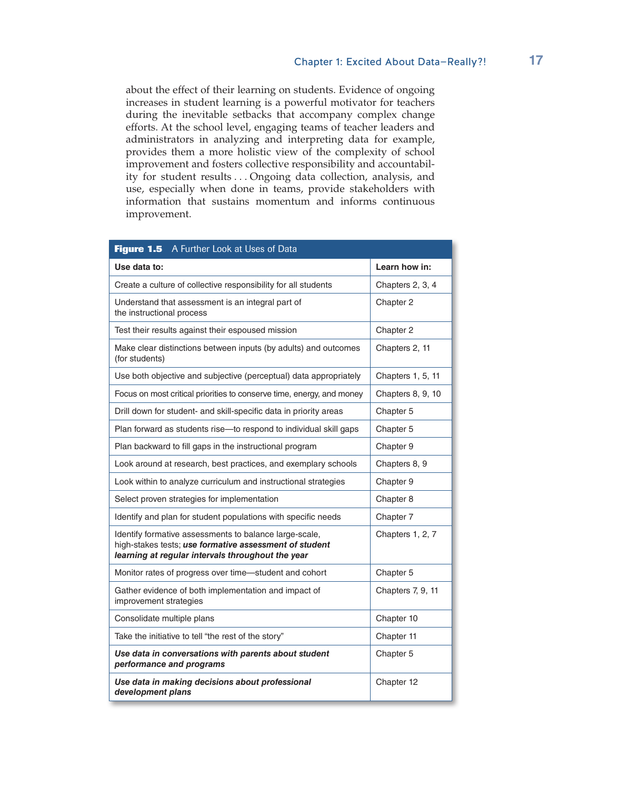about the effect of their learning on students. Evidence of ongoing increases in student learning is a powerful motivator for teachers during the inevitable setbacks that accompany complex change efforts. At the school level, engaging teams of teacher leaders and administrators in analyzing and interpreting data for example, provides them a more holistic view of the complexity of school improvement and fosters collective responsibility and accountability for student results . . . Ongoing data collection, analysis, and use, especially when done in teams, provide stakeholders with information that sustains momentum and informs continuous improvement.

| A Further Look at Uses of Data<br><b>Figure 1.5</b>                                                                                                                   |                   |  |  |  |
|-----------------------------------------------------------------------------------------------------------------------------------------------------------------------|-------------------|--|--|--|
| Use data to:                                                                                                                                                          | Learn how in:     |  |  |  |
| Create a culture of collective responsibility for all students                                                                                                        | Chapters 2, 3, 4  |  |  |  |
| Understand that assessment is an integral part of<br>the instructional process                                                                                        | Chapter 2         |  |  |  |
| Test their results against their espoused mission                                                                                                                     | Chapter 2         |  |  |  |
| Make clear distinctions between inputs (by adults) and outcomes<br>(for students)                                                                                     | Chapters 2, 11    |  |  |  |
| Use both objective and subjective (perceptual) data appropriately                                                                                                     | Chapters 1, 5, 11 |  |  |  |
| Focus on most critical priorities to conserve time, energy, and money                                                                                                 | Chapters 8, 9, 10 |  |  |  |
| Drill down for student- and skill-specific data in priority areas                                                                                                     | Chapter 5         |  |  |  |
| Plan forward as students rise-to respond to individual skill gaps                                                                                                     | Chapter 5         |  |  |  |
| Plan backward to fill gaps in the instructional program                                                                                                               | Chapter 9         |  |  |  |
| Look around at research, best practices, and exemplary schools                                                                                                        | Chapters 8, 9     |  |  |  |
| Look within to analyze curriculum and instructional strategies                                                                                                        | Chapter 9         |  |  |  |
| Select proven strategies for implementation                                                                                                                           | Chapter 8         |  |  |  |
| Identify and plan for student populations with specific needs                                                                                                         | Chapter 7         |  |  |  |
| Identify formative assessments to balance large-scale,<br>high-stakes tests; use formative assessment of student<br>learning at regular intervals throughout the year | Chapters 1, 2, 7  |  |  |  |
| Monitor rates of progress over time-student and cohort                                                                                                                | Chapter 5         |  |  |  |
| Gather evidence of both implementation and impact of<br>improvement strategies                                                                                        | Chapters 7, 9, 11 |  |  |  |
| Consolidate multiple plans                                                                                                                                            | Chapter 10        |  |  |  |
| Take the initiative to tell "the rest of the story"                                                                                                                   | Chapter 11        |  |  |  |
| Use data in conversations with parents about student<br>performance and programs                                                                                      | Chapter 5         |  |  |  |
| Use data in making decisions about professional<br>development plans                                                                                                  | Chapter 12        |  |  |  |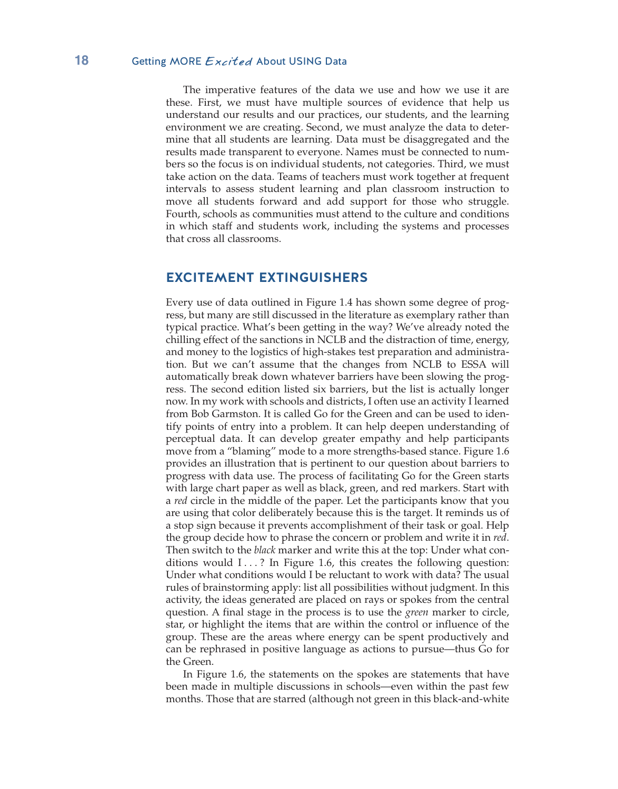The imperative features of the data we use and how we use it are these. First, we must have multiple sources of evidence that help us understand our results and our practices, our students, and the learning environment we are creating. Second, we must analyze the data to determine that all students are learning. Data must be disaggregated and the results made transparent to everyone. Names must be connected to numbers so the focus is on individual students, not categories. Third, we must take action on the data. Teams of teachers must work together at frequent intervals to assess student learning and plan classroom instruction to move all students forward and add support for those who struggle. Fourth, schools as communities must attend to the culture and conditions in which staff and students work, including the systems and processes that cross all classrooms.

# **EXCITEMENT EXTINGUISHERS**

Every use of data outlined in Figure 1.4 has shown some degree of progress, but many are still discussed in the literature as exemplary rather than typical practice. What's been getting in the way? We've already noted the chilling effect of the sanctions in NCLB and the distraction of time, energy, and money to the logistics of high-stakes test preparation and administration. But we can't assume that the changes from NCLB to ESSA will automatically break down whatever barriers have been slowing the progress. The second edition listed six barriers, but the list is actually longer now. In my work with schools and districts, I often use an activity I learned from Bob Garmston. It is called Go for the Green and can be used to identify points of entry into a problem. It can help deepen understanding of perceptual data. It can develop greater empathy and help participants move from a "blaming" mode to a more strengths-based stance. Figure 1.6 provides an illustration that is pertinent to our question about barriers to progress with data use. The process of facilitating Go for the Green starts with large chart paper as well as black, green, and red markers. Start with a *red* circle in the middle of the paper. Let the participants know that you are using that color deliberately because this is the target. It reminds us of a stop sign because it prevents accomplishment of their task or goal. Help the group decide how to phrase the concern or problem and write it in *red*. Then switch to the *black* marker and write this at the top: Under what conditions would  $I \ldots$ ? In Figure 1.6, this creates the following question: Under what conditions would I be reluctant to work with data? The usual rules of brainstorming apply: list all possibilities without judgment. In this activity, the ideas generated are placed on rays or spokes from the central question. A final stage in the process is to use the *green* marker to circle, star, or highlight the items that are within the control or influence of the group. These are the areas where energy can be spent productively and can be rephrased in positive language as actions to pursue—thus Go for the Green.

In Figure 1.6, the statements on the spokes are statements that have been made in multiple discussions in schools—even within the past few months. Those that are starred (although not green in this black-and-white